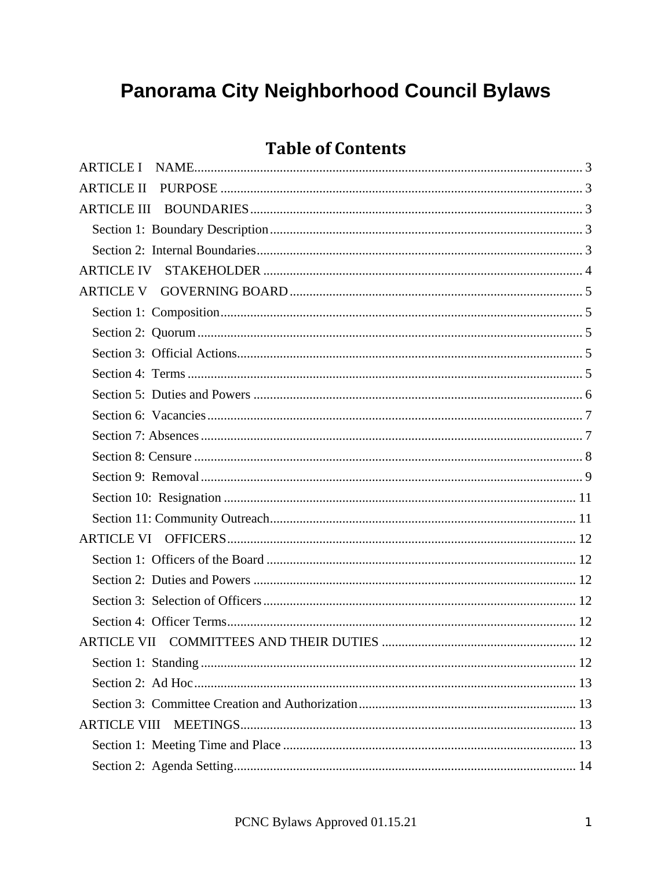# Panorama City Neighborhood Council Bylaws

# **Table of Contents**

| <b>ARTICLE II</b>   |
|---------------------|
| <b>ARTICLE III</b>  |
|                     |
|                     |
| <b>ARTICLE IV</b>   |
|                     |
|                     |
|                     |
|                     |
|                     |
|                     |
|                     |
|                     |
|                     |
|                     |
|                     |
|                     |
|                     |
|                     |
|                     |
|                     |
|                     |
|                     |
|                     |
|                     |
|                     |
| <b>ARTICLE VIII</b> |
|                     |
|                     |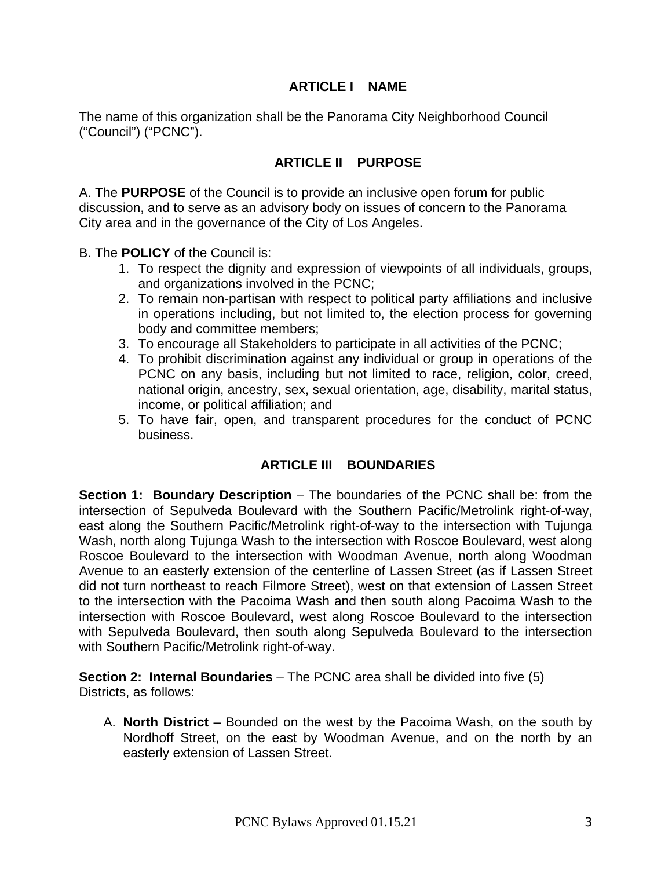# **ARTICLE I NAME**

<span id="page-2-0"></span>The name of this organization shall be the Panorama City Neighborhood Council ("Council") ("PCNC").

# **ARTICLE II PURPOSE**

<span id="page-2-1"></span>A. The **PURPOSE** of the Council is to provide an inclusive open forum for public discussion, and to serve as an advisory body on issues of concern to the Panorama City area and in the governance of the City of Los Angeles.

B. The **POLICY** of the Council is:

- 1. To respect the dignity and expression of viewpoints of all individuals, groups, and organizations involved in the PCNC;
- 2. To remain non-partisan with respect to political party affiliations and inclusive in operations including, but not limited to, the election process for governing body and committee members;
- 3. To encourage all Stakeholders to participate in all activities of the PCNC;
- 4. To prohibit discrimination against any individual or group in operations of the PCNC on any basis, including but not limited to race, religion, color, creed, national origin, ancestry, sex, sexual orientation, age, disability, marital status, income, or political affiliation; and
- 5. To have fair, open, and transparent procedures for the conduct of PCNC business.

#### **ARTICLE III BOUNDARIES**

<span id="page-2-3"></span><span id="page-2-2"></span>**Section 1: Boundary Description** – The boundaries of the PCNC shall be: from the intersection of Sepulveda Boulevard with the Southern Pacific/Metrolink right-of-way, east along the Southern Pacific/Metrolink right-of-way to the intersection with Tujunga Wash, north along Tujunga Wash to the intersection with Roscoe Boulevard, west along Roscoe Boulevard to the intersection with Woodman Avenue, north along Woodman Avenue to an easterly extension of the centerline of Lassen Street (as if Lassen Street did not turn northeast to reach Filmore Street), west on that extension of Lassen Street to the intersection with the Pacoima Wash and then south along Pacoima Wash to the intersection with Roscoe Boulevard, west along Roscoe Boulevard to the intersection with Sepulveda Boulevard, then south along Sepulveda Boulevard to the intersection with Southern Pacific/Metrolink right-of-way.

<span id="page-2-4"></span>**Section 2: Internal Boundaries** – The PCNC area shall be divided into five (5) Districts, as follows:

A. **North District** – Bounded on the west by the Pacoima Wash, on the south by Nordhoff Street, on the east by Woodman Avenue, and on the north by an easterly extension of Lassen Street.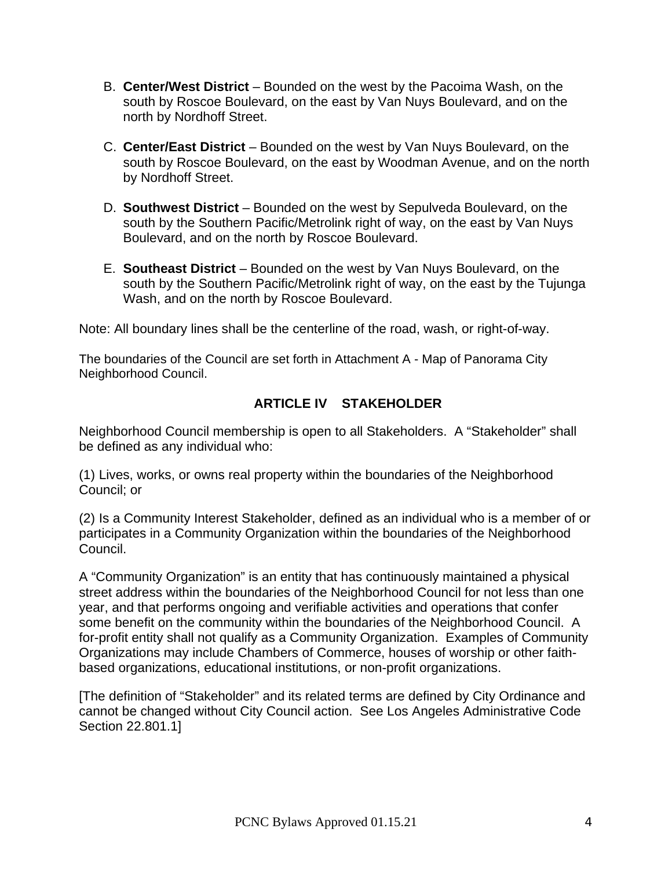- B. **Center/West District** Bounded on the west by the Pacoima Wash, on the south by Roscoe Boulevard, on the east by Van Nuys Boulevard, and on the north by Nordhoff Street.
- C. **Center/East District** Bounded on the west by Van Nuys Boulevard, on the south by Roscoe Boulevard, on the east by Woodman Avenue, and on the north by Nordhoff Street.
- D. **Southwest District** Bounded on the west by Sepulveda Boulevard, on the south by the Southern Pacific/Metrolink right of way, on the east by Van Nuys Boulevard, and on the north by Roscoe Boulevard.
- E. **Southeast District** Bounded on the west by Van Nuys Boulevard, on the south by the Southern Pacific/Metrolink right of way, on the east by the Tujunga Wash, and on the north by Roscoe Boulevard.

Note: All boundary lines shall be the centerline of the road, wash, or right-of-way.

The boundaries of the Council are set forth in Attachment A - Map of Panorama City Neighborhood Council.

# **ARTICLE IV STAKEHOLDER**

<span id="page-3-0"></span>Neighborhood Council membership is open to all Stakeholders. A "Stakeholder" shall be defined as any individual who:

(1) Lives, works, or owns real property within the boundaries of the Neighborhood Council; or

(2) Is a Community Interest Stakeholder, defined as an individual who is a member of or participates in a Community Organization within the boundaries of the Neighborhood Council.

A "Community Organization" is an entity that has continuously maintained a physical street address within the boundaries of the Neighborhood Council for not less than one year, and that performs ongoing and verifiable activities and operations that confer some benefit on the community within the boundaries of the Neighborhood Council. A for-profit entity shall not qualify as a Community Organization. Examples of Community Organizations may include Chambers of Commerce, houses of worship or other faithbased organizations, educational institutions, or non-profit organizations.

[The definition of "Stakeholder" and its related terms are defined by City Ordinance and cannot be changed without City Council action. See Los Angeles Administrative Code Section 22.801.1]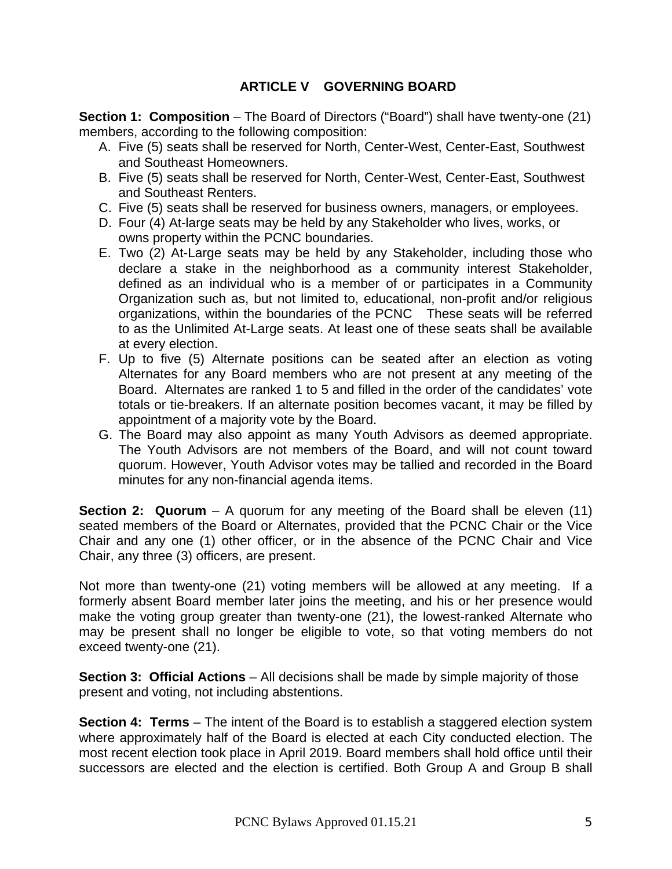# **ARTICLE V GOVERNING BOARD**

<span id="page-4-1"></span><span id="page-4-0"></span>**Section 1: Composition** – The Board of Directors ("Board") shall have twenty-one (21) members, according to the following composition:

- A. Five (5) seats shall be reserved for North, Center-West, Center-East, Southwest and Southeast Homeowners.
- B. Five (5) seats shall be reserved for North, Center-West, Center-East, Southwest and Southeast Renters.
- C. Five (5) seats shall be reserved for business owners, managers, or employees.
- D. Four (4) At-large seats may be held by any Stakeholder who lives, works, or owns property within the PCNC boundaries.
- E. Two (2) At-Large seats may be held by any Stakeholder, including those who declare a stake in the neighborhood as a community interest Stakeholder, defined as an individual who is a member of or participates in a Community Organization such as, but not limited to, educational, non-profit and/or religious organizations, within the boundaries of the PCNC These seats will be referred to as the Unlimited At-Large seats. At least one of these seats shall be available at every election.
- F. Up to five (5) Alternate positions can be seated after an election as voting Alternates for any Board members who are not present at any meeting of the Board. Alternates are ranked 1 to 5 and filled in the order of the candidates' vote totals or tie-breakers. If an alternate position becomes vacant, it may be filled by appointment of a majority vote by the Board.
- G. The Board may also appoint as many Youth Advisors as deemed appropriate. The Youth Advisors are not members of the Board, and will not count toward quorum. However, Youth Advisor votes may be tallied and recorded in the Board minutes for any non-financial agenda items.

<span id="page-4-2"></span>**Section 2: Quorum** – A quorum for any meeting of the Board shall be eleven (11) seated members of the Board or Alternates, provided that the PCNC Chair or the Vice Chair and any one (1) other officer, or in the absence of the PCNC Chair and Vice Chair, any three (3) officers, are present.

Not more than twenty-one (21) voting members will be allowed at any meeting. If a formerly absent Board member later joins the meeting, and his or her presence would make the voting group greater than twenty-one (21), the lowest-ranked Alternate who may be present shall no longer be eligible to vote, so that voting members do not exceed twenty-one (21).

<span id="page-4-3"></span>**Section 3: Official Actions** – All decisions shall be made by simple majority of those present and voting, not including abstentions.

<span id="page-4-4"></span>**Section 4: Terms** – The intent of the Board is to establish a staggered election system where approximately half of the Board is elected at each City conducted election. The most recent election took place in April 2019. Board members shall hold office until their successors are elected and the election is certified. Both Group A and Group B shall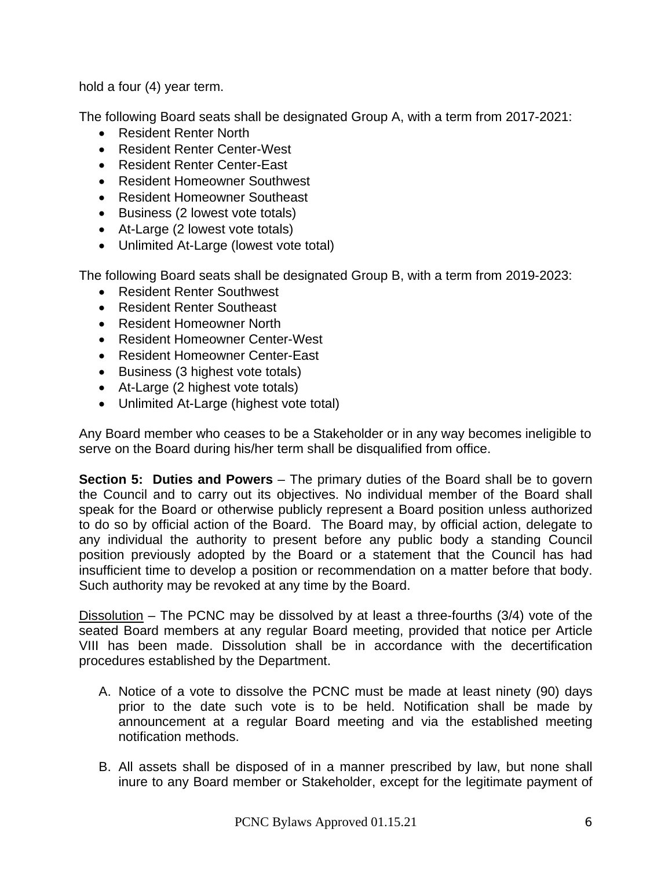hold a four (4) year term.

The following Board seats shall be designated Group A, with a term from 2017-2021:

- Resident Renter North
- Resident Renter Center-West
- Resident Renter Center-East
- Resident Homeowner Southwest
- Resident Homeowner Southeast
- Business (2 lowest vote totals)
- At-Large (2 lowest vote totals)
- Unlimited At-Large (lowest vote total)

The following Board seats shall be designated Group B, with a term from 2019-2023:

- Resident Renter Southwest
- Resident Renter Southeast
- Resident Homeowner North
- Resident Homeowner Center-West
- Resident Homeowner Center-East
- Business (3 highest vote totals)
- At-Large (2 highest vote totals)
- Unlimited At-Large (highest vote total)

Any Board member who ceases to be a Stakeholder or in any way becomes ineligible to serve on the Board during his/her term shall be disqualified from office.

<span id="page-5-0"></span>**Section 5: Duties and Powers** – The primary duties of the Board shall be to govern the Council and to carry out its objectives. No individual member of the Board shall speak for the Board or otherwise publicly represent a Board position unless authorized to do so by official action of the Board. The Board may, by official action, delegate to any individual the authority to present before any public body a standing Council position previously adopted by the Board or a statement that the Council has had insufficient time to develop a position or recommendation on a matter before that body. Such authority may be revoked at any time by the Board.

Dissolution – The PCNC may be dissolved by at least a three-fourths (3/4) vote of the seated Board members at any regular Board meeting, provided that notice per Article VIII has been made. Dissolution shall be in accordance with the decertification procedures established by the Department.

- A. Notice of a vote to dissolve the PCNC must be made at least ninety (90) days prior to the date such vote is to be held. Notification shall be made by announcement at a regular Board meeting and via the established meeting notification methods.
- B. All assets shall be disposed of in a manner prescribed by law, but none shall inure to any Board member or Stakeholder, except for the legitimate payment of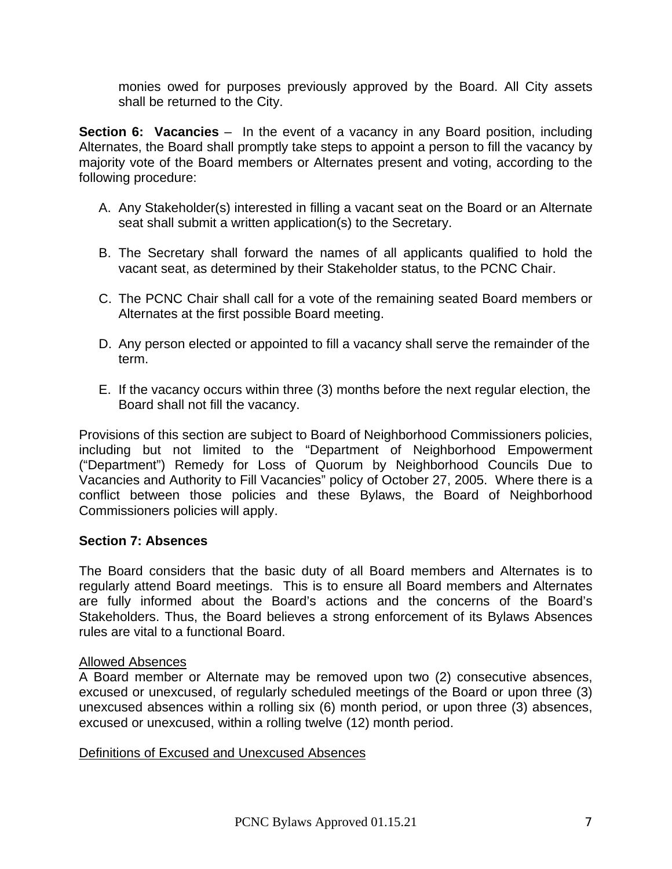monies owed for purposes previously approved by the Board. All City assets shall be returned to the City.

<span id="page-6-0"></span>**Section 6: Vacancies** – In the event of a vacancy in any Board position, including Alternates, the Board shall promptly take steps to appoint a person to fill the vacancy by majority vote of the Board members or Alternates present and voting, according to the following procedure:

- A. Any Stakeholder(s) interested in filling a vacant seat on the Board or an Alternate seat shall submit a written application(s) to the Secretary.
- B. The Secretary shall forward the names of all applicants qualified to hold the vacant seat, as determined by their Stakeholder status, to the PCNC Chair.
- C. The PCNC Chair shall call for a vote of the remaining seated Board members or Alternates at the first possible Board meeting.
- D. Any person elected or appointed to fill a vacancy shall serve the remainder of the term.
- E. If the vacancy occurs within three (3) months before the next regular election, the Board shall not fill the vacancy.

Provisions of this section are subject to Board of Neighborhood Commissioners policies, including but not limited to the "Department of Neighborhood Empowerment ("Department") Remedy for Loss of Quorum by Neighborhood Councils Due to Vacancies and Authority to Fill Vacancies" policy of October 27, 2005. Where there is a conflict between those policies and these Bylaws, the Board of Neighborhood Commissioners policies will apply.

#### <span id="page-6-1"></span>**Section 7: Absences**

The Board considers that the basic duty of all Board members and Alternates is to regularly attend Board meetings. This is to ensure all Board members and Alternates are fully informed about the Board's actions and the concerns of the Board's Stakeholders. Thus, the Board believes a strong enforcement of its Bylaws Absences rules are vital to a functional Board.

#### Allowed Absences

A Board member or Alternate may be removed upon two (2) consecutive absences, excused or unexcused, of regularly scheduled meetings of the Board or upon three (3) unexcused absences within a rolling six (6) month period, or upon three (3) absences, excused or unexcused, within a rolling twelve (12) month period.

#### Definitions of Excused and Unexcused Absences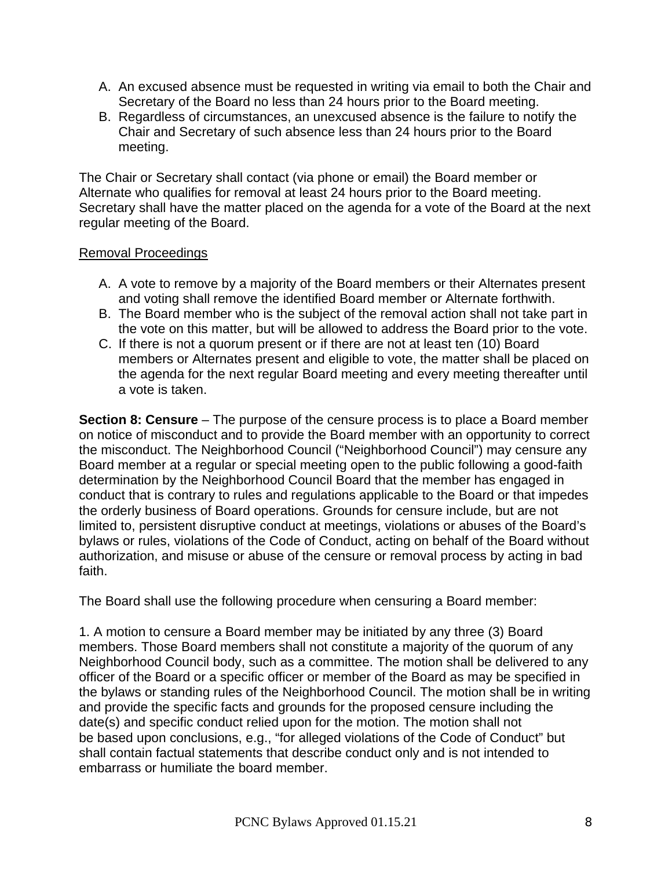- A. An excused absence must be requested in writing via email to both the Chair and Secretary of the Board no less than 24 hours prior to the Board meeting.
- B. Regardless of circumstances, an unexcused absence is the failure to notify the Chair and Secretary of such absence less than 24 hours prior to the Board meeting.

The Chair or Secretary shall contact (via phone or email) the Board member or Alternate who qualifies for removal at least 24 hours prior to the Board meeting. Secretary shall have the matter placed on the agenda for a vote of the Board at the next regular meeting of the Board.

#### Removal Proceedings

- A. A vote to remove by a majority of the Board members or their Alternates present and voting shall remove the identified Board member or Alternate forthwith.
- B. The Board member who is the subject of the removal action shall not take part in the vote on this matter, but will be allowed to address the Board prior to the vote.
- C. If there is not a quorum present or if there are not at least ten (10) Board members or Alternates present and eligible to vote, the matter shall be placed on the agenda for the next regular Board meeting and every meeting thereafter until a vote is taken.

<span id="page-7-0"></span>**Section 8: Censure** – The purpose of the censure process is to place a Board member on notice of misconduct and to provide the Board member with an opportunity to correct the misconduct. The Neighborhood Council ("Neighborhood Council") may censure any Board member at a regular or special meeting open to the public following a good-faith determination by the Neighborhood Council Board that the member has engaged in conduct that is contrary to rules and regulations applicable to the Board or that impedes the orderly business of Board operations. Grounds for censure include, but are not limited to, persistent disruptive conduct at meetings, violations or abuses of the Board's bylaws or rules, violations of the Code of Conduct, acting on behalf of the Board without authorization, and misuse or abuse of the censure or removal process by acting in bad faith.

The Board shall use the following procedure when censuring a Board member:

1. A motion to censure a Board member may be initiated by any three (3) Board members. Those Board members shall not constitute a majority of the quorum of any Neighborhood Council body, such as a committee. The motion shall be delivered to any officer of the Board or a specific officer or member of the Board as may be specified in the bylaws or standing rules of the Neighborhood Council. The motion shall be in writing and provide the specific facts and grounds for the proposed censure including the date(s) and specific conduct relied upon for the motion. The motion shall not be based upon conclusions, e.g., "for alleged violations of the Code of Conduct" but shall contain factual statements that describe conduct only and is not intended to embarrass or humiliate the board member.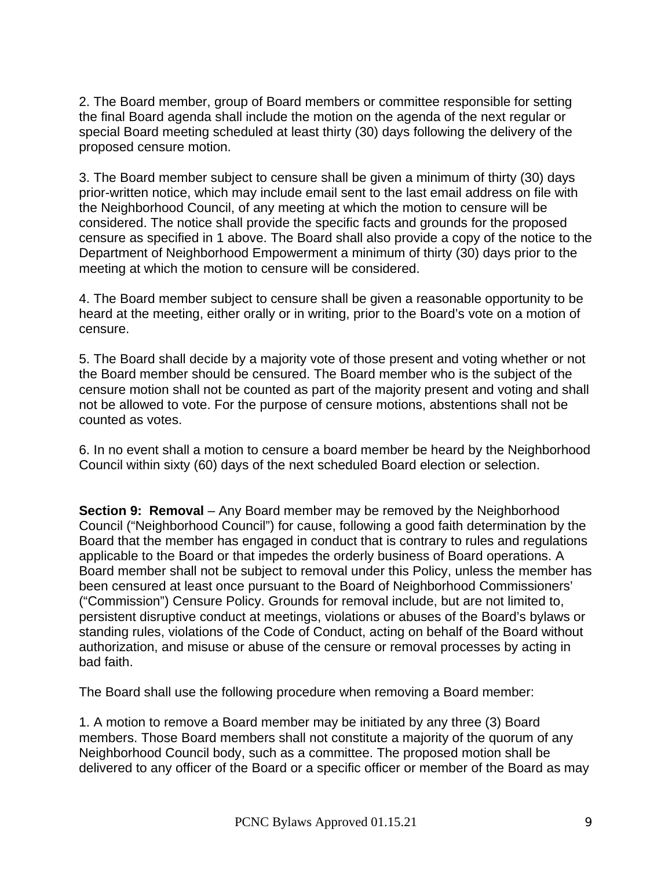2. The Board member, group of Board members or committee responsible for setting the final Board agenda shall include the motion on the agenda of the next regular or special Board meeting scheduled at least thirty (30) days following the delivery of the proposed censure motion.

3. The Board member subject to censure shall be given a minimum of thirty (30) days prior-written notice, which may include email sent to the last email address on file with the Neighborhood Council, of any meeting at which the motion to censure will be considered. The notice shall provide the specific facts and grounds for the proposed censure as specified in 1 above. The Board shall also provide a copy of the notice to the Department of Neighborhood Empowerment a minimum of thirty (30) days prior to the meeting at which the motion to censure will be considered.

4. The Board member subject to censure shall be given a reasonable opportunity to be heard at the meeting, either orally or in writing, prior to the Board's vote on a motion of censure.

5. The Board shall decide by a majority vote of those present and voting whether or not the Board member should be censured. The Board member who is the subject of the censure motion shall not be counted as part of the majority present and voting and shall not be allowed to vote. For the purpose of censure motions, abstentions shall not be counted as votes.

6. In no event shall a motion to censure a board member be heard by the Neighborhood Council within sixty (60) days of the next scheduled Board election or selection.

<span id="page-8-0"></span>**Section 9: Removal** – Any Board member may be removed by the Neighborhood Council ("Neighborhood Council") for cause, following a good faith determination by the Board that the member has engaged in conduct that is contrary to rules and regulations applicable to the Board or that impedes the orderly business of Board operations. A Board member shall not be subject to removal under this Policy, unless the member has been censured at least once pursuant to the Board of Neighborhood Commissioners' ("Commission") Censure Policy. Grounds for removal include, but are not limited to, persistent disruptive conduct at meetings, violations or abuses of the Board's bylaws or standing rules, violations of the Code of Conduct, acting on behalf of the Board without authorization, and misuse or abuse of the censure or removal processes by acting in bad faith.

The Board shall use the following procedure when removing a Board member:

1. A motion to remove a Board member may be initiated by any three (3) Board members. Those Board members shall not constitute a majority of the quorum of any Neighborhood Council body, such as a committee. The proposed motion shall be delivered to any officer of the Board or a specific officer or member of the Board as may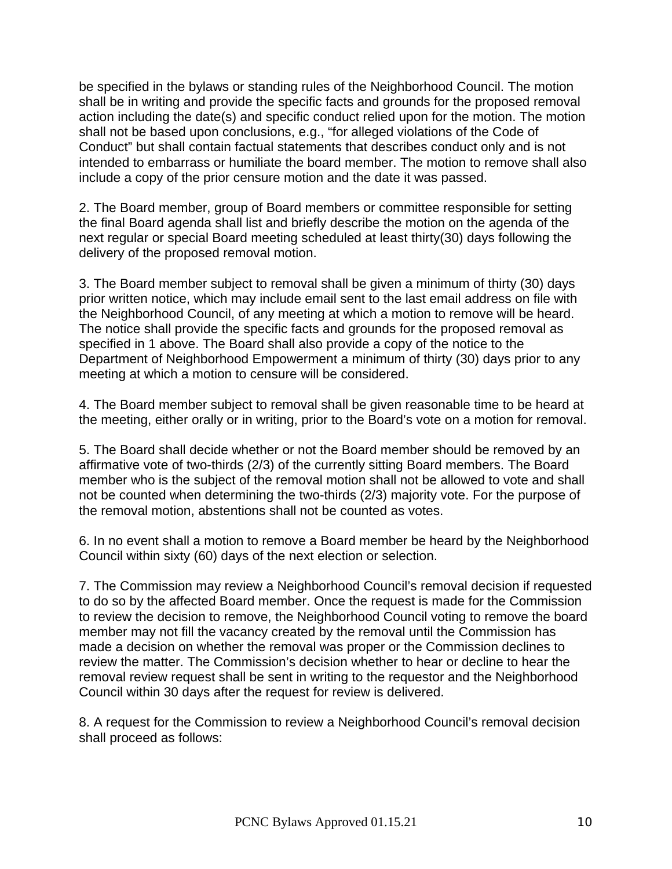be specified in the bylaws or standing rules of the Neighborhood Council. The motion shall be in writing and provide the specific facts and grounds for the proposed removal action including the date(s) and specific conduct relied upon for the motion. The motion shall not be based upon conclusions, e.g., "for alleged violations of the Code of Conduct" but shall contain factual statements that describes conduct only and is not intended to embarrass or humiliate the board member. The motion to remove shall also include a copy of the prior censure motion and the date it was passed.

2. The Board member, group of Board members or committee responsible for setting the final Board agenda shall list and briefly describe the motion on the agenda of the next regular or special Board meeting scheduled at least thirty(30) days following the delivery of the proposed removal motion.

3. The Board member subject to removal shall be given a minimum of thirty (30) days prior written notice, which may include email sent to the last email address on file with the Neighborhood Council, of any meeting at which a motion to remove will be heard. The notice shall provide the specific facts and grounds for the proposed removal as specified in 1 above. The Board shall also provide a copy of the notice to the Department of Neighborhood Empowerment a minimum of thirty (30) days prior to any meeting at which a motion to censure will be considered.

4. The Board member subject to removal shall be given reasonable time to be heard at the meeting, either orally or in writing, prior to the Board's vote on a motion for removal.

5. The Board shall decide whether or not the Board member should be removed by an affirmative vote of two-thirds (2/3) of the currently sitting Board members. The Board member who is the subject of the removal motion shall not be allowed to vote and shall not be counted when determining the two-thirds (2/3) majority vote. For the purpose of the removal motion, abstentions shall not be counted as votes.

6. In no event shall a motion to remove a Board member be heard by the Neighborhood Council within sixty (60) days of the next election or selection.

7. The Commission may review a Neighborhood Council's removal decision if requested to do so by the affected Board member. Once the request is made for the Commission to review the decision to remove, the Neighborhood Council voting to remove the board member may not fill the vacancy created by the removal until the Commission has made a decision on whether the removal was proper or the Commission declines to review the matter. The Commission's decision whether to hear or decline to hear the removal review request shall be sent in writing to the requestor and the Neighborhood Council within 30 days after the request for review is delivered.

8. A request for the Commission to review a Neighborhood Council's removal decision shall proceed as follows: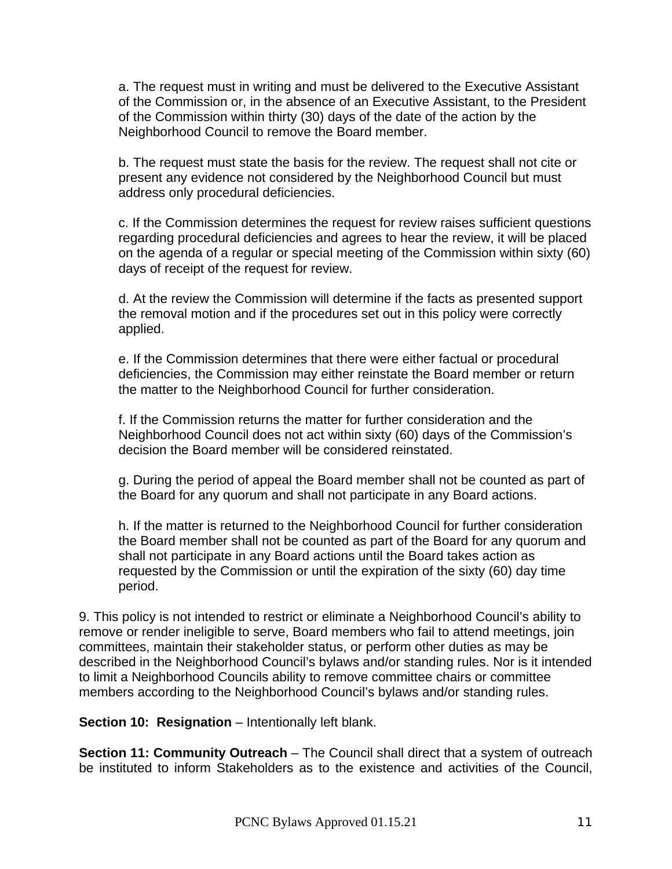a. The request must in writing and must be delivered to the Executive Assistant of the Commission or, in the absence of an Executive Assistant, to the President of the Commission within thirty (30) days of the date of the action by the Neighborhood Council to remove the Board member.

b. The request must state the basis for the review. The request shall not cite or present any evidence not considered by the Neighborhood Council but must address only procedural deficiencies.

c. If the Commission determines the request for review raises sufficient questions regarding procedural deficiencies and agrees to hear the review, it will be placed on the agenda of a regular or special meeting of the Commission within sixty (60) days of receipt of the request for review.

d. At the review the Commission will determine if the facts as presented support the removal motion and if the procedures set out in this policy were correctly applied.

e. If the Commission determines that there were either factual or procedural deficiencies, the Commission may either reinstate the Board member or return the matter to the Neighborhood Council for further consideration.

f. If the Commission returns the matter for further consideration and the Neighborhood Council does not act within sixty (60) days of the Commission's decision the Board member will be considered reinstated.

g. During the period of appeal the Board member shall not be counted as part of the Board for any quorum and shall not participate in any Board actions.

h. If the matter is returned to the Neighborhood Council for further consideration the Board member shall not be counted as part of the Board for any quorum and shall not participate in any Board actions until the Board takes action as requested by the Commission or until the expiration of the sixty (60) day time period.

9. This policy is not intended to restrict or eliminate a Neighborhood Council's ability to remove or render ineligible to serve, Board members who fail to attend meetings, join committees, maintain their stakeholder status, or perform other duties as may be described in the Neighborhood Council's bylaws and/or standing rules. Nor is it intended to limit a Neighborhood Councils ability to remove committee chairs or committee members according to the Neighborhood Council's bylaws and/or standing rules.

<span id="page-10-0"></span>**Section 10: Resignation** – Intentionally left blank.

<span id="page-10-1"></span>**Section 11: Community Outreach** – The Council shall direct that a system of outreach be instituted to inform Stakeholders as to the existence and activities of the Council,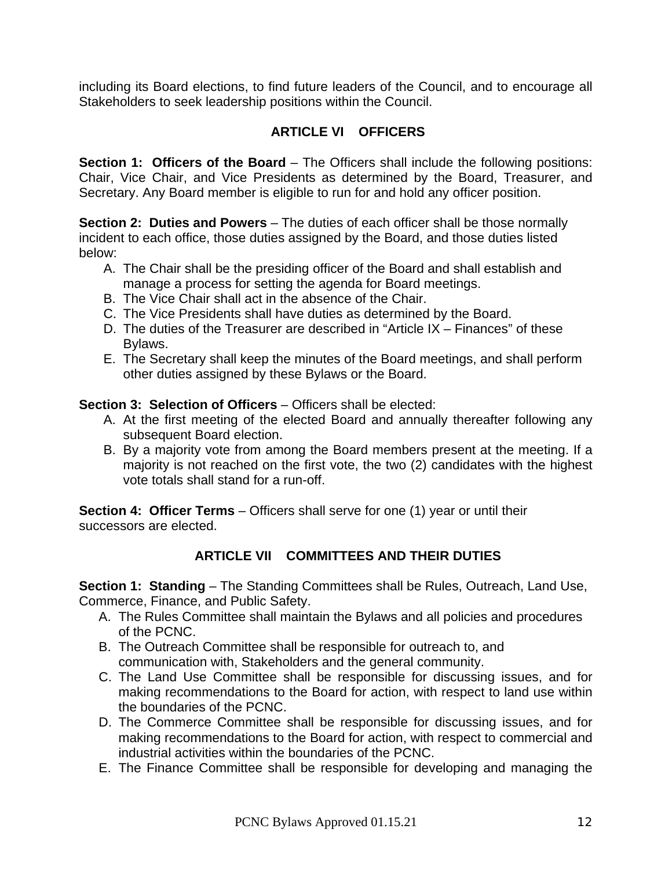including its Board elections, to find future leaders of the Council, and to encourage all Stakeholders to seek leadership positions within the Council.

# **ARTICLE VI OFFICERS**

<span id="page-11-1"></span><span id="page-11-0"></span>**Section 1: Officers of the Board** – The Officers shall include the following positions: Chair, Vice Chair, and Vice Presidents as determined by the Board, Treasurer, and Secretary. Any Board member is eligible to run for and hold any officer position.

<span id="page-11-2"></span>**Section 2: Duties and Powers** – The duties of each officer shall be those normally incident to each office, those duties assigned by the Board, and those duties listed below:

- A. The Chair shall be the presiding officer of the Board and shall establish and manage a process for setting the agenda for Board meetings.
- B. The Vice Chair shall act in the absence of the Chair.
- C. The Vice Presidents shall have duties as determined by the Board.
- D. The duties of the Treasurer are described in "Article IX Finances" of these Bylaws.
- E. The Secretary shall keep the minutes of the Board meetings, and shall perform other duties assigned by these Bylaws or the Board.

<span id="page-11-3"></span>**Section 3: Selection of Officers** – Officers shall be elected:

- A. At the first meeting of the elected Board and annually thereafter following any subsequent Board election.
- B. By a majority vote from among the Board members present at the meeting. If a majority is not reached on the first vote, the two (2) candidates with the highest vote totals shall stand for a run-off.

<span id="page-11-4"></span>**Section 4: Officer Terms** – Officers shall serve for one (1) year or until their successors are elected.

# **ARTICLE VII COMMITTEES AND THEIR DUTIES**

<span id="page-11-6"></span><span id="page-11-5"></span>**Section 1: Standing** – The Standing Committees shall be Rules, Outreach, Land Use, Commerce, Finance, and Public Safety.

- A. The Rules Committee shall maintain the Bylaws and all policies and procedures of the PCNC.
- B. The Outreach Committee shall be responsible for outreach to, and communication with, Stakeholders and the general community.
- C. The Land Use Committee shall be responsible for discussing issues, and for making recommendations to the Board for action, with respect to land use within the boundaries of the PCNC.
- D. The Commerce Committee shall be responsible for discussing issues, and for making recommendations to the Board for action, with respect to commercial and industrial activities within the boundaries of the PCNC.
- E. The Finance Committee shall be responsible for developing and managing the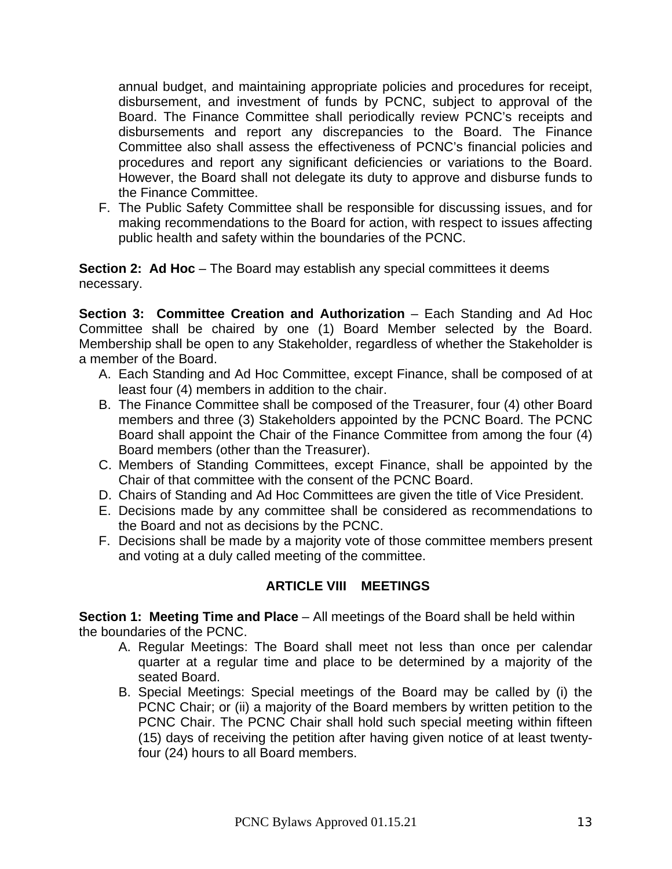annual budget, and maintaining appropriate policies and procedures for receipt, disbursement, and investment of funds by PCNC, subject to approval of the Board. The Finance Committee shall periodically review PCNC's receipts and disbursements and report any discrepancies to the Board. The Finance Committee also shall assess the effectiveness of PCNC's financial policies and procedures and report any significant deficiencies or variations to the Board. However, the Board shall not delegate its duty to approve and disburse funds to the Finance Committee.

F. The Public Safety Committee shall be responsible for discussing issues, and for making recommendations to the Board for action, with respect to issues affecting public health and safety within the boundaries of the PCNC.

<span id="page-12-0"></span>**Section 2: Ad Hoc** – The Board may establish any special committees it deems necessary.

<span id="page-12-1"></span>**Section 3: Committee Creation and Authorization** – Each Standing and Ad Hoc Committee shall be chaired by one (1) Board Member selected by the Board. Membership shall be open to any Stakeholder, regardless of whether the Stakeholder is a member of the Board.

- A. Each Standing and Ad Hoc Committee, except Finance, shall be composed of at least four (4) members in addition to the chair.
- B. The Finance Committee shall be composed of the Treasurer, four (4) other Board members and three (3) Stakeholders appointed by the PCNC Board. The PCNC Board shall appoint the Chair of the Finance Committee from among the four (4) Board members (other than the Treasurer).
- C. Members of Standing Committees, except Finance, shall be appointed by the Chair of that committee with the consent of the PCNC Board.
- D. Chairs of Standing and Ad Hoc Committees are given the title of Vice President.
- E. Decisions made by any committee shall be considered as recommendations to the Board and not as decisions by the PCNC.
- F. Decisions shall be made by a majority vote of those committee members present and voting at a duly called meeting of the committee.

#### **ARTICLE VIII MEETINGS**

<span id="page-12-3"></span><span id="page-12-2"></span>**Section 1: Meeting Time and Place** – All meetings of the Board shall be held within the boundaries of the PCNC.

- A. Regular Meetings: The Board shall meet not less than once per calendar quarter at a regular time and place to be determined by a majority of the seated Board.
- B. Special Meetings: Special meetings of the Board may be called by (i) the PCNC Chair; or (ii) a majority of the Board members by written petition to the PCNC Chair. The PCNC Chair shall hold such special meeting within fifteen (15) days of receiving the petition after having given notice of at least twentyfour (24) hours to all Board members.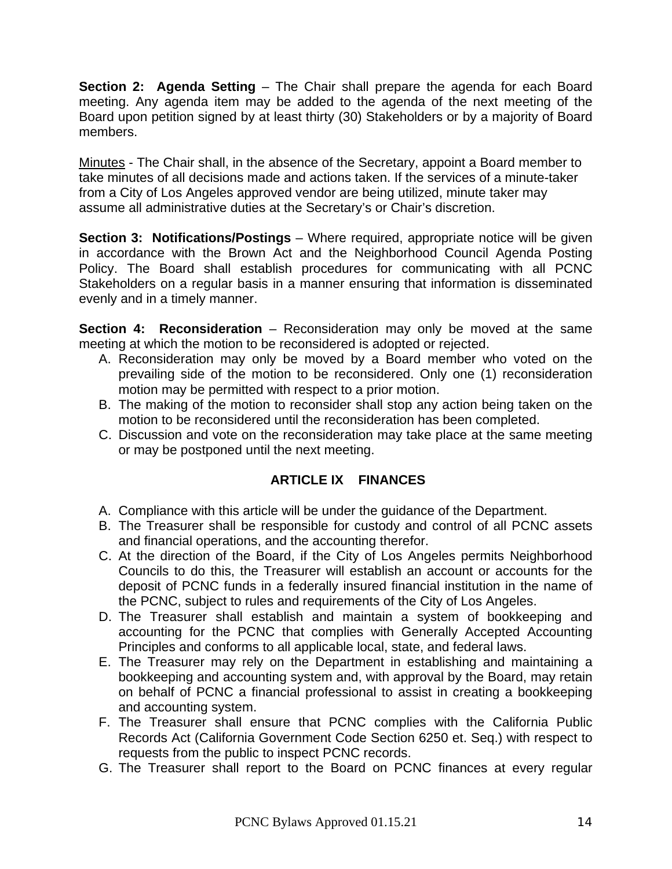<span id="page-13-0"></span>**Section 2: Agenda Setting** – The Chair shall prepare the agenda for each Board meeting. Any agenda item may be added to the agenda of the next meeting of the Board upon petition signed by at least thirty (30) Stakeholders or by a majority of Board members.

Minutes - The Chair shall, in the absence of the Secretary, appoint a Board member to take minutes of all decisions made and actions taken. If the services of a minute-taker from a City of Los Angeles approved vendor are being utilized, minute taker may assume all administrative duties at the Secretary's or Chair's discretion.

<span id="page-13-1"></span>**Section 3: Notifications/Postings** – Where required, appropriate notice will be given in accordance with the Brown Act and the Neighborhood Council Agenda Posting Policy. The Board shall establish procedures for communicating with all PCNC Stakeholders on a regular basis in a manner ensuring that information is disseminated evenly and in a timely manner.

<span id="page-13-2"></span>**Section 4: Reconsideration** – Reconsideration may only be moved at the same meeting at which the motion to be reconsidered is adopted or rejected.

- A. Reconsideration may only be moved by a Board member who voted on the prevailing side of the motion to be reconsidered. Only one (1) reconsideration motion may be permitted with respect to a prior motion.
- B. The making of the motion to reconsider shall stop any action being taken on the motion to be reconsidered until the reconsideration has been completed.
- C. Discussion and vote on the reconsideration may take place at the same meeting or may be postponed until the next meeting.

# **ARTICLE IX FINANCES**

- <span id="page-13-3"></span>A. Compliance with this article will be under the guidance of the Department.
- B. The Treasurer shall be responsible for custody and control of all PCNC assets and financial operations, and the accounting therefor.
- C. At the direction of the Board, if the City of Los Angeles permits Neighborhood Councils to do this, the Treasurer will establish an account or accounts for the deposit of PCNC funds in a federally insured financial institution in the name of the PCNC, subject to rules and requirements of the City of Los Angeles.
- D. The Treasurer shall establish and maintain a system of bookkeeping and accounting for the PCNC that complies with Generally Accepted Accounting Principles and conforms to all applicable local, state, and federal laws.
- E. The Treasurer may rely on the Department in establishing and maintaining a bookkeeping and accounting system and, with approval by the Board, may retain on behalf of PCNC a financial professional to assist in creating a bookkeeping and accounting system.
- F. The Treasurer shall ensure that PCNC complies with the California Public Records Act (California Government Code Section 6250 et. Seq.) with respect to requests from the public to inspect PCNC records.
- G. The Treasurer shall report to the Board on PCNC finances at every regular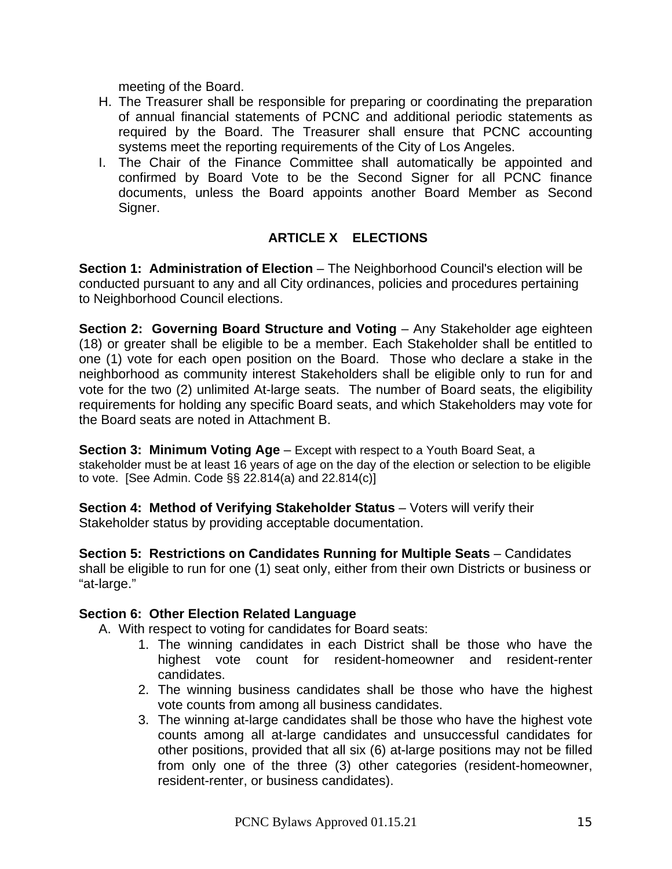meeting of the Board.

- H. The Treasurer shall be responsible for preparing or coordinating the preparation of annual financial statements of PCNC and additional periodic statements as required by the Board. The Treasurer shall ensure that PCNC accounting systems meet the reporting requirements of the City of Los Angeles.
- I. The Chair of the Finance Committee shall automatically be appointed and confirmed by Board Vote to be the Second Signer for all PCNC finance documents, unless the Board appoints another Board Member as Second Signer.

# **ARTICLE X ELECTIONS**

<span id="page-14-1"></span><span id="page-14-0"></span>**Section 1: Administration of Election** – The Neighborhood Council's election will be conducted pursuant to any and all City ordinances, policies and procedures pertaining to Neighborhood Council elections.

<span id="page-14-2"></span>**Section 2: Governing Board Structure and Voting** – Any Stakeholder age eighteen (18) or greater shall be eligible to be a member. Each Stakeholder shall be entitled to one (1) vote for each open position on the Board. Those who declare a stake in the neighborhood as community interest Stakeholders shall be eligible only to run for and vote for the two (2) unlimited At-large seats. The number of Board seats, the eligibility requirements for holding any specific Board seats, and which Stakeholders may vote for the Board seats are noted in Attachment B.

<span id="page-14-3"></span>**Section 3: Minimum Voting Age** – Except with respect to a Youth Board Seat, a stakeholder must be at least 16 years of age on the day of the election or selection to be eligible to vote. [See Admin. Code §§ 22.814(a) and 22.814(c)]

<span id="page-14-4"></span>**Section 4: Method of Verifying Stakeholder Status** – Voters will verify their Stakeholder status by providing acceptable documentation.

<span id="page-14-5"></span>**Section 5: Restrictions on Candidates Running for Multiple Seats** – Candidates shall be eligible to run for one (1) seat only, either from their own Districts or business or "at-large."

#### <span id="page-14-6"></span>**Section 6: Other Election Related Language**

A. With respect to voting for candidates for Board seats:

- 1. The winning candidates in each District shall be those who have the highest vote count for resident-homeowner and resident-renter candidates.
- 2. The winning business candidates shall be those who have the highest vote counts from among all business candidates.
- 3. The winning at-large candidates shall be those who have the highest vote counts among all at-large candidates and unsuccessful candidates for other positions, provided that all six (6) at-large positions may not be filled from only one of the three (3) other categories (resident-homeowner, resident-renter, or business candidates).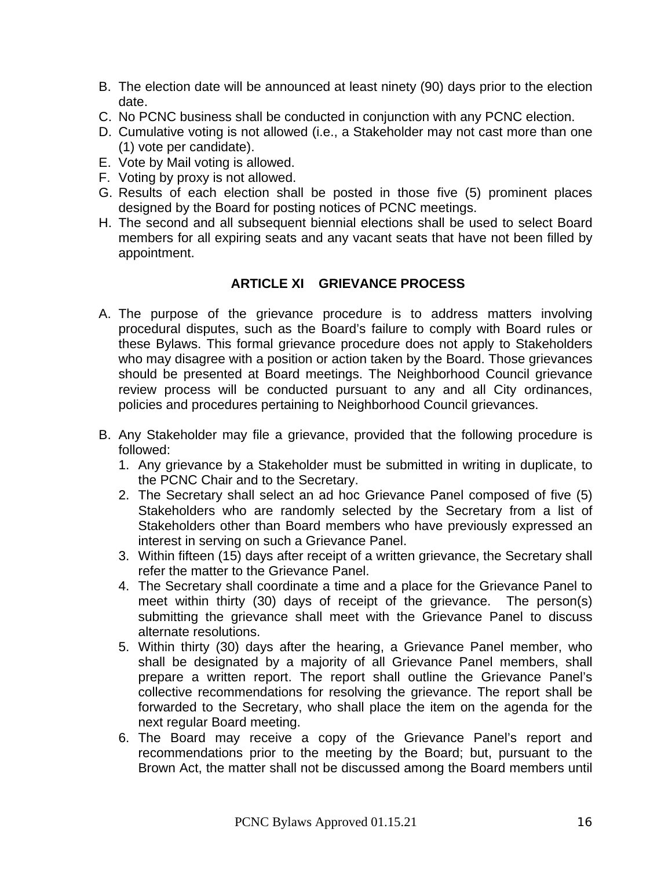- B. The election date will be announced at least ninety (90) days prior to the election date.
- C. No PCNC business shall be conducted in conjunction with any PCNC election.
- D. Cumulative voting is not allowed (i.e., a Stakeholder may not cast more than one (1) vote per candidate).
- E. Vote by Mail voting is allowed.
- F. Voting by proxy is not allowed.
- G. Results of each election shall be posted in those five (5) prominent places designed by the Board for posting notices of PCNC meetings.
- H. The second and all subsequent biennial elections shall be used to select Board members for all expiring seats and any vacant seats that have not been filled by appointment.

# **ARTICLE XI GRIEVANCE PROCESS**

- <span id="page-15-0"></span>A. The purpose of the grievance procedure is to address matters involving procedural disputes, such as the Board's failure to comply with Board rules or these Bylaws. This formal grievance procedure does not apply to Stakeholders who may disagree with a position or action taken by the Board. Those grievances should be presented at Board meetings. The Neighborhood Council grievance review process will be conducted pursuant to any and all City ordinances, policies and procedures pertaining to Neighborhood Council grievances.
- B. Any Stakeholder may file a grievance, provided that the following procedure is followed:
	- 1. Any grievance by a Stakeholder must be submitted in writing in duplicate, to the PCNC Chair and to the Secretary.
	- 2. The Secretary shall select an ad hoc Grievance Panel composed of five (5) Stakeholders who are randomly selected by the Secretary from a list of Stakeholders other than Board members who have previously expressed an interest in serving on such a Grievance Panel.
	- 3. Within fifteen (15) days after receipt of a written grievance, the Secretary shall refer the matter to the Grievance Panel.
	- 4. The Secretary shall coordinate a time and a place for the Grievance Panel to meet within thirty (30) days of receipt of the grievance. The person(s) submitting the grievance shall meet with the Grievance Panel to discuss alternate resolutions.
	- 5. Within thirty (30) days after the hearing, a Grievance Panel member, who shall be designated by a majority of all Grievance Panel members, shall prepare a written report. The report shall outline the Grievance Panel's collective recommendations for resolving the grievance. The report shall be forwarded to the Secretary, who shall place the item on the agenda for the next regular Board meeting.
	- 6. The Board may receive a copy of the Grievance Panel's report and recommendations prior to the meeting by the Board; but, pursuant to the Brown Act, the matter shall not be discussed among the Board members until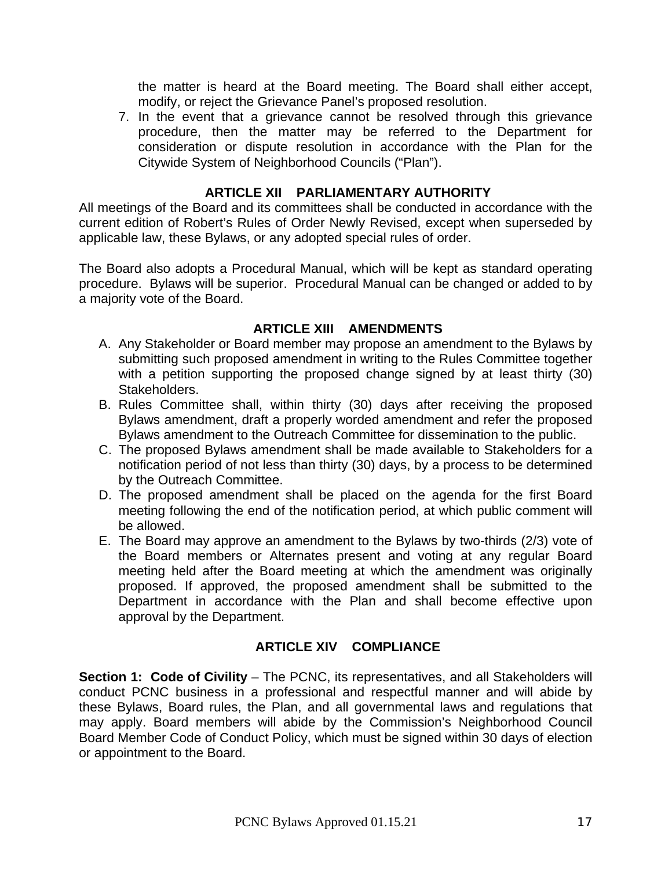the matter is heard at the Board meeting. The Board shall either accept, modify, or reject the Grievance Panel's proposed resolution.

7. In the event that a grievance cannot be resolved through this grievance procedure, then the matter may be referred to the Department for consideration or dispute resolution in accordance with the Plan for the Citywide System of Neighborhood Councils ("Plan").

#### **ARTICLE XII PARLIAMENTARY AUTHORITY**

<span id="page-16-0"></span>All meetings of the Board and its committees shall be conducted in accordance with the current edition of Robert's Rules of Order Newly Revised, except when superseded by applicable law, these Bylaws, or any adopted special rules of order.

The Board also adopts a Procedural Manual, which will be kept as standard operating procedure. Bylaws will be superior. Procedural Manual can be changed or added to by a majority vote of the Board.

#### **ARTICLE XIII AMENDMENTS**

- <span id="page-16-1"></span>A. Any Stakeholder or Board member may propose an amendment to the Bylaws by submitting such proposed amendment in writing to the Rules Committee together with a petition supporting the proposed change signed by at least thirty (30) Stakeholders.
- B. Rules Committee shall, within thirty (30) days after receiving the proposed Bylaws amendment, draft a properly worded amendment and refer the proposed Bylaws amendment to the Outreach Committee for dissemination to the public.
- C. The proposed Bylaws amendment shall be made available to Stakeholders for a notification period of not less than thirty (30) days, by a process to be determined by the Outreach Committee.
- D. The proposed amendment shall be placed on the agenda for the first Board meeting following the end of the notification period, at which public comment will be allowed.
- E. The Board may approve an amendment to the Bylaws by two-thirds (2/3) vote of the Board members or Alternates present and voting at any regular Board meeting held after the Board meeting at which the amendment was originally proposed. If approved, the proposed amendment shall be submitted to the Department in accordance with the Plan and shall become effective upon approval by the Department.

# **ARTICLE XIV COMPLIANCE**

<span id="page-16-3"></span><span id="page-16-2"></span>**Section 1: Code of Civility** – The PCNC, its representatives, and all Stakeholders will conduct PCNC business in a professional and respectful manner and will abide by these Bylaws, Board rules, the Plan, and all governmental laws and regulations that may apply. Board members will abide by the Commission's Neighborhood Council Board Member Code of Conduct Policy, which must be signed within 30 days of election or appointment to the Board.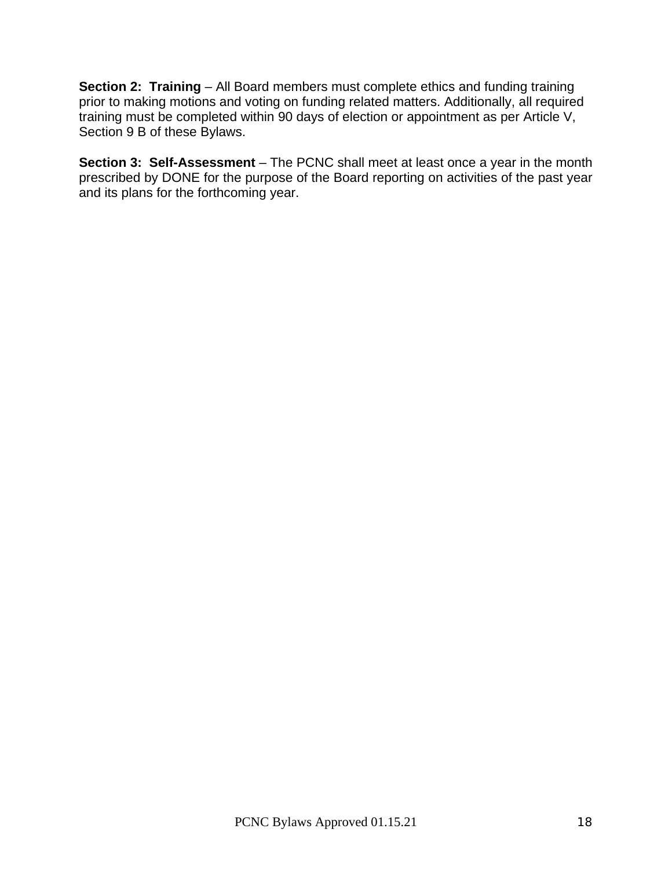<span id="page-17-0"></span>**Section 2: Training** – All Board members must complete ethics and funding training prior to making motions and voting on funding related matters. Additionally, all required training must be completed within 90 days of election or appointment as per Article V, Section 9 B of these Bylaws.

<span id="page-17-1"></span>**Section 3: Self-Assessment** – The PCNC shall meet at least once a year in the month prescribed by DONE for the purpose of the Board reporting on activities of the past year and its plans for the forthcoming year.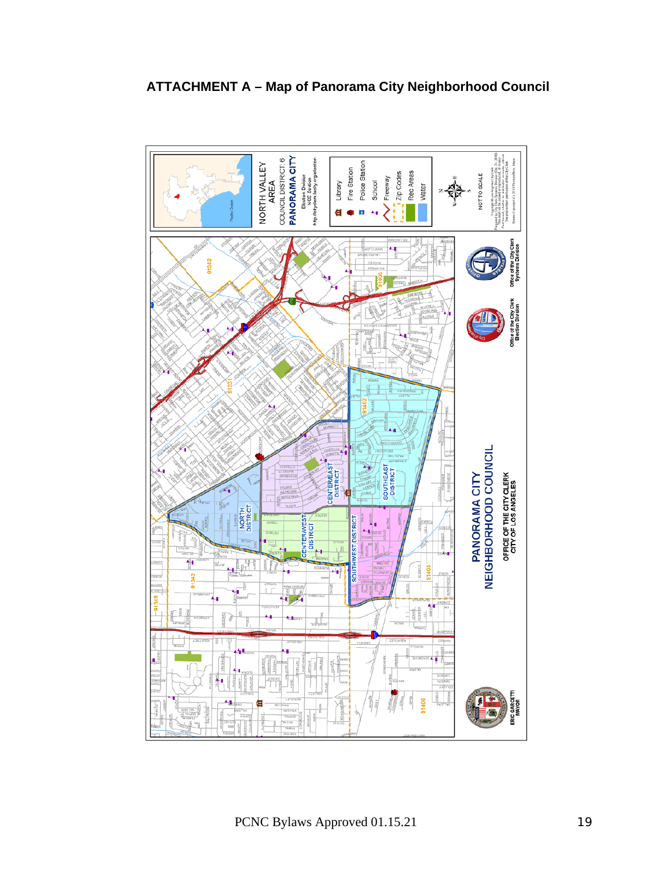<span id="page-18-0"></span>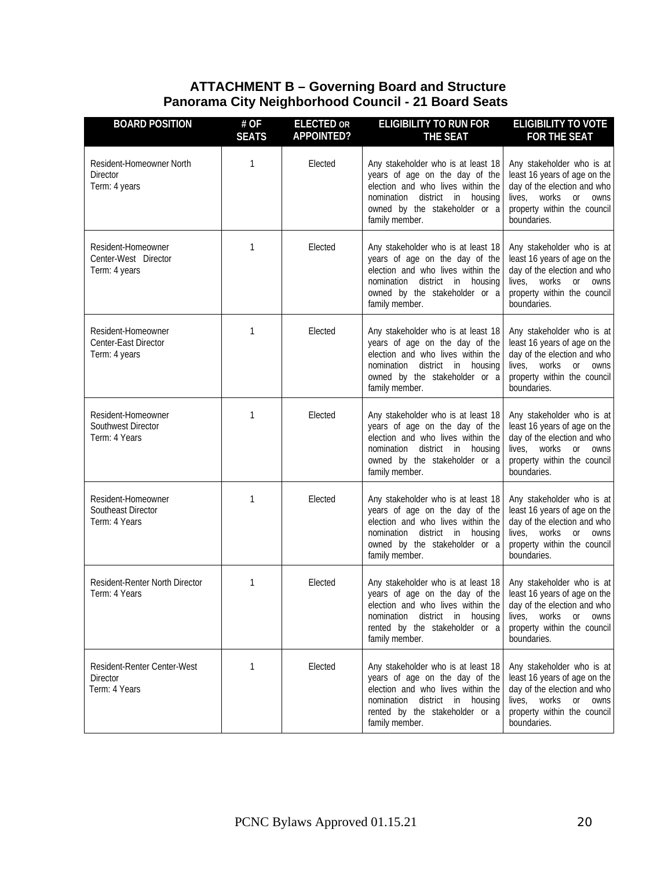#### **ATTACHMENT B – Governing Board and Structure Panorama City Neighborhood Council - 21 Board Seats**

<span id="page-19-0"></span>

| <b>BOARD POSITION</b>                                           | # OF<br><b>SEATS</b> | <b>ELECTED OR</b><br><b>APPOINTED?</b> | <b>ELIGIBILITY TO RUN FOR</b><br><b>THE SEAT</b>                                                                                                                                                | <b>ELIGIBILITY TO VOTE</b><br><b>FOR THE SEAT</b>                                                                                                                       |
|-----------------------------------------------------------------|----------------------|----------------------------------------|-------------------------------------------------------------------------------------------------------------------------------------------------------------------------------------------------|-------------------------------------------------------------------------------------------------------------------------------------------------------------------------|
| Resident-Homeowner North<br><b>Director</b><br>Term: 4 years    | 1                    | Elected                                | Any stakeholder who is at least 18<br>years of age on the day of the<br>election and who lives within the<br>nomination district in housing<br>owned by the stakeholder or a<br>family member.  | Any stakeholder who is at<br>least 16 years of age on the<br>day of the election and who<br>lives, works<br>or owns<br>property within the council<br>boundaries.       |
| Resident-Homeowner<br>Center-West Director<br>Term: 4 years     | 1                    | Elected                                | Any stakeholder who is at least 18<br>years of age on the day of the<br>election and who lives within the<br>nomination district in housing<br>owned by the stakeholder or a<br>family member.  | Any stakeholder who is at<br>least 16 years of age on the<br>day of the election and who<br>lives, works or owns<br>property within the council<br>boundaries.          |
| Resident-Homeowner<br>Center-East Director<br>Term: 4 years     | 1                    | Elected                                | Any stakeholder who is at least 18<br>years of age on the day of the<br>election and who lives within the<br>nomination district in housing<br>owned by the stakeholder or a<br>family member.  | Any stakeholder who is at<br>least 16 years of age on the<br>day of the election and who<br>lives.<br>works<br>or owns<br>property within the council<br>boundaries.    |
| Resident-Homeowner<br>Southwest Director<br>Term: 4 Years       | 1                    | Elected                                | Any stakeholder who is at least 18<br>years of age on the day of the<br>election and who lives within the<br>nomination district in housing<br>owned by the stakeholder or a<br>family member.  | Any stakeholder who is at<br>least 16 years of age on the<br>day of the election and who<br>lives, works or owns<br>property within the council<br>boundaries.          |
| Resident-Homeowner<br>Southeast Director<br>Term: 4 Years       | 1                    | Elected                                | Any stakeholder who is at least 18<br>years of age on the day of the<br>election and who lives within the<br>nomination district in housing<br>owned by the stakeholder or a<br>family member.  | Any stakeholder who is at<br>least 16 years of age on the<br>day of the election and who<br>lives, works<br>or<br>owns<br>property within the council<br>boundaries.    |
| Resident-Renter North Director<br>Term: 4 Years                 | 1                    | Elected                                | Any stakeholder who is at least 18<br>years of age on the day of the<br>election and who lives within the<br>nomination district in housing<br>rented by the stakeholder or a<br>family member. | Any stakeholder who is at<br>least 16 years of age on the<br>day of the election and who<br>lives, works or owns<br>property within the council<br>boundaries.          |
| Resident-Renter Center-West<br><b>Director</b><br>Term: 4 Years | 1                    | Elected                                | Any stakeholder who is at least 18<br>years of age on the day of the<br>election and who lives within the<br>nomination district in housing<br>rented by the stakeholder or a<br>family member. | Any stakeholder who is at<br>least 16 years of age on the<br>day of the election and who<br>lives,<br>works<br>or<br>owns<br>property within the council<br>boundaries. |